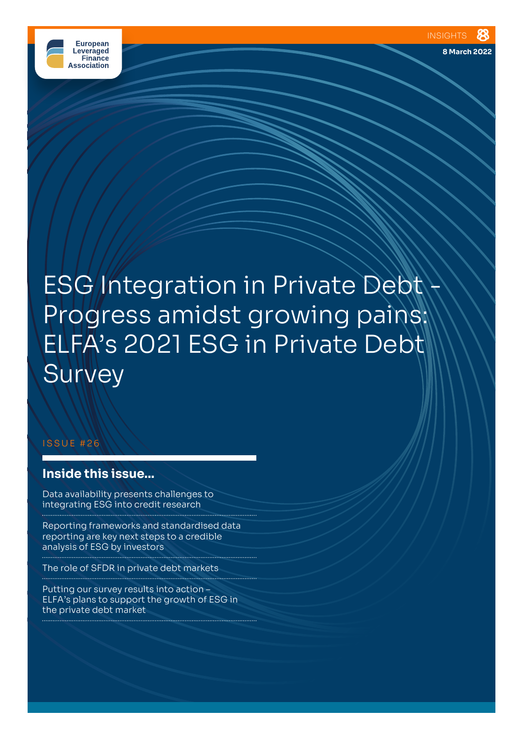

**8 March 2022**

# **ESG Integration in Private Debt** Progress amidst growing pains: ELFA's 2021 ESG in Private Debt **Survey**

#### ISSUE #26

# **Inside this issue...**

Data availability presents challenges to integrating ESG into credit research

Reporting frameworks and standardised data reporting are key next steps to a credible analysis of ESG by investors

The role of SFDR in private debt markets

Putting our survey results into action – ELFA's plans to support the growth of ESG in the private debt market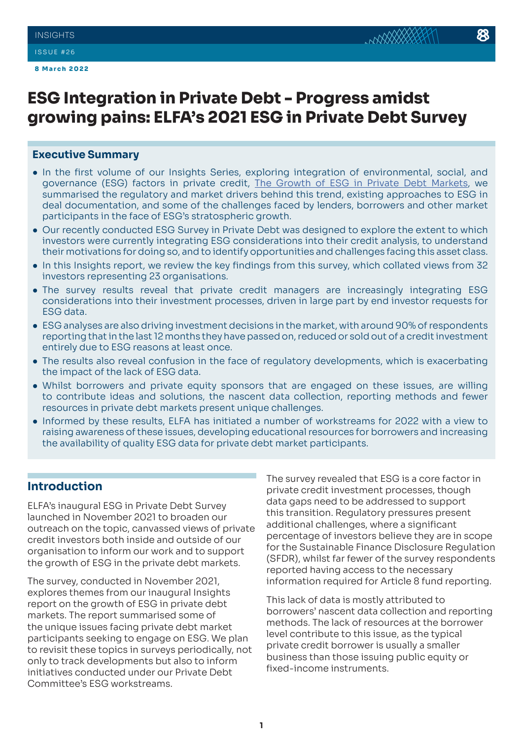**8 March 2022**

# **ESG Integration in Private Debt - Progress amidst growing pains: ELFA's 2021 ESG in Private Debt Survey**

#### **Executive Summary**

- In the first volume of our Insights Series, exploring integration of environmental, social, and governance (ESG) factors in private credit, [The Growth of ESG in Private Debt Markets](https://elfainvestors.com/wp-content/uploads/2021/10/ELFA-Insights-18-The-Growth-of-ESG-in-Private-Debt-Markets-Current-Challenges-Proposed-Next-Steps-and-ELFAs-ESG-in-Private-Debt-Survey.pdf), we summarised the regulatory and market drivers behind this trend, existing approaches to ESG in deal documentation, and some of the challenges faced by lenders, borrowers and other market participants in the face of ESG's stratospheric growth.
- Our recently conducted ESG Survey in Private Debt was designed to explore the extent to which investors were currently integrating ESG considerations into their credit analysis, to understand their motivations for doing so, and to identify opportunities and challenges facing this asset class.
- In this Insights report, we review the key findings from this survey, which collated views from 32 investors representing 23 organisations.
- The survey results reveal that private credit managers are increasingly integrating ESG considerations into their investment processes, driven in large part by end investor requests for ESG data.
- ESG analyses are also driving investment decisions in the market, with around 90% of respondents reporting that in the last 12 months they have passed on, reduced or sold out of a credit investment entirely due to ESG reasons at least once.
- The results also reveal confusion in the face of regulatory developments, which is exacerbating the impact of the lack of ESG data.
- Whilst borrowers and private equity sponsors that are engaged on these issues, are willing to contribute ideas and solutions, the nascent data collection, reporting methods and fewer resources in private debt markets present unique challenges.
- Informed by these results, ELFA has initiated a number of workstreams for 2022 with a view to raising awareness of these issues, developing educational resources for borrowers and increasing the availability of quality ESG data for private debt market participants.

# **Introduction**

ELFA's inaugural ESG in Private Debt Survey launched in November 2021 to broaden our outreach on the topic, canvassed views of private credit investors both inside and outside of our organisation to inform our work and to support the growth of ESG in the private debt markets.

The survey, conducted in November 2021, explores themes from our inaugural Insights report on the growth of ESG in private debt markets. The report summarised some of the unique issues facing private debt market participants seeking to engage on ESG. We plan to revisit these topics in surveys periodically, not only to track developments but also to inform initiatives conducted under our Private Debt Committee's ESG workstreams.

The survey revealed that ESG is a core factor in private credit investment processes, though data gaps need to be addressed to support this transition. Regulatory pressures present additional challenges, where a significant percentage of investors believe they are in scope for the Sustainable Finance Disclosure Regulation (SFDR), whilst far fewer of the survey respondents reported having access to the necessary information required for Article 8 fund reporting.

This lack of data is mostly attributed to borrowers' nascent data collection and reporting methods. The lack of resources at the borrower level contribute to this issue, as the typical private credit borrower is usually a smaller business than those issuing public equity or fixed-income instruments.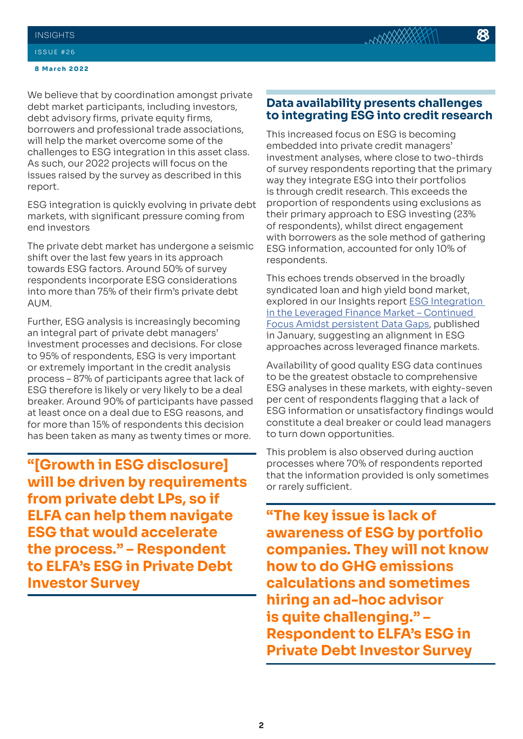We believe that by coordination amongst private debt market participants, including investors, debt advisory firms, private equity firms, borrowers and professional trade associations, will help the market overcome some of the challenges to ESG integration in this asset class. As such, our 2022 projects will focus on the issues raised by the survey as described in this report.

ESG integration is quickly evolving in private debt markets, with significant pressure coming from end investors

The private debt market has undergone a seismic shift over the last few years in its approach towards ESG factors. Around 50% of survey respondents incorporate ESG considerations into more than 75% of their firm's private debt AUM.

Further, ESG analysis is increasingly becoming an integral part of private debt managers' investment processes and decisions. For close to 95% of respondents, ESG is very important or extremely important in the credit analysis process – 87% of participants agree that lack of ESG therefore is likely or very likely to be a deal breaker. Around 90% of participants have passed at least once on a deal due to ESG reasons, and for more than 15% of respondents this decision has been taken as many as twenty times or more.

**"[Growth in ESG disclosure] will be driven by requirements from private debt LPs, so if ELFA can help them navigate ESG that would accelerate the process." – Respondent to ELFA's ESG in Private Debt Investor Survey**

# **Data availability presents challenges to integrating ESG into credit research**

This increased focus on ESG is becoming embedded into private credit managers' investment analyses, where close to two-thirds of survey respondents reporting that the primary way they integrate ESG into their portfolios is through credit research. This exceeds the proportion of respondents using exclusions as their primary approach to ESG investing (23% of respondents), whilst direct engagement with borrowers as the sole method of gathering ESG information, accounted for only 10% of respondents.

This echoes trends observed in the broadly syndicated loan and high yield bond market, explored in our Insights report **ESG** Integration [in the Leveraged Finance Market – Continued](https://elfainvestors.com/wp-content/uploads/2022/01/ELFA-Insights-24-ESG-Integration-in-Leveraged-Finance-%E2%80%93-Continued-Focus-Amidst-Persistent-Data-Gaps-ELFAs-2021-ESG-Investor-Survey-Results.pdf)  [Focus Amidst persistent Data Gaps](https://elfainvestors.com/wp-content/uploads/2022/01/ELFA-Insights-24-ESG-Integration-in-Leveraged-Finance-%E2%80%93-Continued-Focus-Amidst-Persistent-Data-Gaps-ELFAs-2021-ESG-Investor-Survey-Results.pdf), published in January, suggesting an alignment in ESG approaches across leveraged finance markets.

Availability of good quality ESG data continues to be the greatest obstacle to comprehensive ESG analyses in these markets, with eighty-seven per cent of respondents flagging that a lack of ESG information or unsatisfactory findings would constitute a deal breaker or could lead managers to turn down opportunities.

This problem is also observed during auction processes where 70% of respondents reported that the information provided is only sometimes or rarely sufficient.

**"The key issue is lack of awareness of ESG by portfolio companies. They will not know how to do GHG emissions calculations and sometimes hiring an ad-hoc advisor is quite challenging." – Respondent to ELFA's ESG in Private Debt Investor Survey**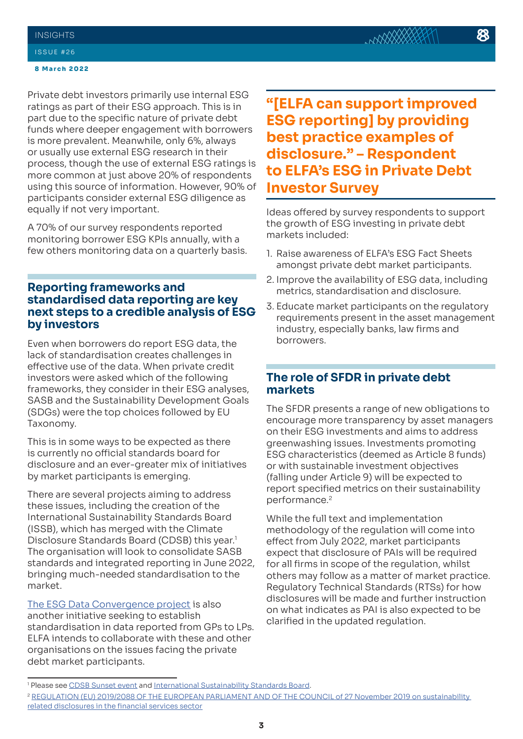#### **8 March 2022**

Private debt investors primarily use internal ESG ratings as part of their ESG approach. This is in part due to the specific nature of private debt funds where deeper engagement with borrowers is more prevalent. Meanwhile, only 6%, always or usually use external ESG research in their process, though the use of external ESG ratings is more common at just above 20% of respondents using this source of information. However, 90% of participants consider external ESG diligence as equally if not very important.

A 70% of our survey respondents reported monitoring borrower ESG KPIs annually, with a few others monitoring data on a quarterly basis.

# **Reporting frameworks and standardised data reporting are key next steps to a credible analysis of ESG by investors**

Even when borrowers do report ESG data, the lack of standardisation creates challenges in effective use of the data. When private credit investors were asked which of the following frameworks, they consider in their ESG analyses, SASB and the Sustainability Development Goals (SDGs) were the top choices followed by EU Taxonomy.

This is in some ways to be expected as there is currently no official standards board for disclosure and an ever-greater mix of initiatives by market participants is emerging.

There are several projects aiming to address these issues, including the creation of the International Sustainability Standards Board (ISSB), which has merged with the Climate Disclosure Standards Board (CDSB) this year.<sup>1</sup> The organisation will look to consolidate SASB standards and integrated reporting in June 2022, bringing much-needed standardisation to the market.

[The ESG Data Convergence project](https://ilpa.org/ilpa_esg_roadmap/esg_data_convergence_project/) is also another initiative seeking to establish standardisation in data reported from GPs to LPs. ELFA intends to collaborate with these and other organisations on the issues facing the private debt market participants.

**"[ELFA can support improved ESG reporting] by providing best practice examples of disclosure." – Respondent to ELFA's ESG in Private Debt Investor Survey**

Ideas offered by survey respondents to support the growth of ESG investing in private debt markets included:

- 1. Raise awareness of ELFA's ESG Fact Sheets amongst private debt market participants.
- 2. Improve the availability of ESG data, including metrics, standardisation and disclosure.
- 3. Educate market participants on the regulatory requirements present in the asset management industry, especially banks, law firms and borrowers.

# **The role of SFDR in private debt markets**

The SFDR presents a range of new obligations to encourage more transparency by asset managers on their ESG investments and aims to address greenwashing issues. Investments promoting ESG characteristics (deemed as Article 8 funds) or with sustainable investment objectives (falling under Article 9) will be expected to report specified metrics on their sustainability performance.<sup>2</sup>

While the full text and implementation methodology of the regulation will come into effect from July 2022, market participants expect that disclosure of PAIs will be required for all firms in scope of the regulation, whilst others may follow as a matter of market practice. Regulatory Technical Standards (RTSs) for how disclosures will be made and further instruction on what indicates as PAI is also expected to be clarified in the updated regulation.

<sup>&</sup>lt;sup>1</sup> Please see <u>CDSB Sunset event</u> and <u>International Sustainability Standards Board</u>.

<sup>&</sup>lt;sup>2</sup> REGULATION (EU) 2019/2088 OF THE EUROPEAN PARLIAMENT AND OF THE COUNCIL of 27 November 2019 on sustainability [related disclosures in the financial services sector](https://eur-lex.europa.eu/legal-content/EN/TXT/?uri=CELEX:32019R2088)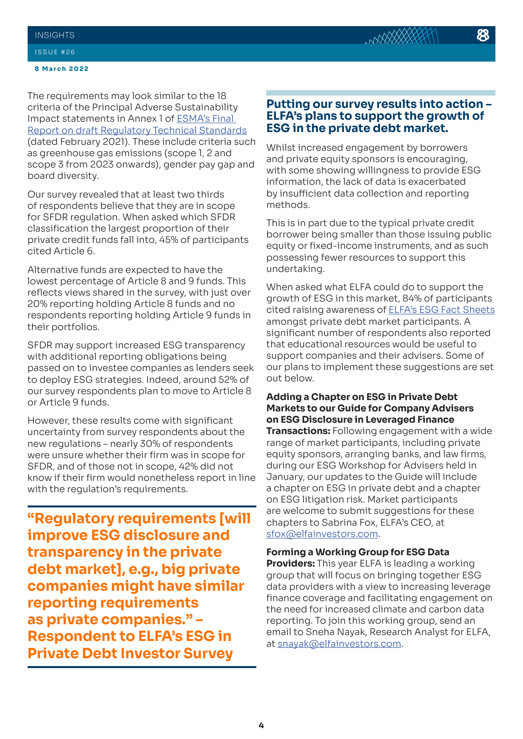#### **8 March 2022**

The requirements may look similar to the 18 criteria of the Principal Adverse Sustainability Impact statements in Annex 1 of [ESMA's Final](https://www.esma.europa.eu/sites/default/files/library/jc_2021_03_joint_esas_final_report_on_rts_under_sfdr.pdf)  [Report on draft Regulatory Technical Standards](https://www.esma.europa.eu/sites/default/files/library/jc_2021_03_joint_esas_final_report_on_rts_under_sfdr.pdf) (dated February 2021). These include criteria such as greenhouse gas emissions (scope 1, 2 and scope 3 from 2023 onwards), gender pay gap and board diversity.

Our survey revealed that at least two thirds of respondents believe that they are in scope for SFDR regulation. When asked which SFDR classification the largest proportion of their private credit funds fall into, 45% of participants cited Article 6.

Alternative funds are expected to have the lowest percentage of Article 8 and 9 funds. This reflects views shared in the survey, with just over 20% reporting holding Article 8 funds and no respondents reporting holding Article 9 funds in their portfolios.

SFDR may support increased ESG transparency with additional reporting obligations being passed on to investee companies as lenders seek to deploy ESG strategies. Indeed, around 52% of our survey respondents plan to move to Article 8 or Article 9 funds.

However, these results come with significant uncertainty from survey respondents about the new regulations – nearly 30% of respondents were unsure whether their firm was in scope for SFDR, and of those not in scope, 42% did not know if their firm would nonetheless report in line with the regulation's requirements.

**"Regulatory requirements [will improve ESG disclosure and transparency in the private debt market], e.g., big private companies might have similar reporting requirements as private companies." – Respondent to ELFA's ESG in Private Debt Investor Survey** 

### **Putting our survey results into action – ELFA's plans to support the growth of ESG in the private debt market.**

Whilst increased engagement by borrowers and private equity sponsors is encouraging, with some showing willingness to provide ESG information, the lack of data is exacerbated by insufficient data collection and reporting methods.

This is in part due to the typical private credit borrower being smaller than those issuing public equity or fixed-income instruments, and as such possessing fewer resources to support this undertaking.

When asked what ELFA could do to support the growth of ESG in this market, 84% of participants cited raising awareness of [ELFA's ESG Fact Sheets](https://elfainvestors.com/publications/elfa-diligence/?pubinitiatives=esg) amongst private debt market participants. A significant number of respondents also reported that educational resources would be useful to support companies and their advisers. Some of our plans to implement these suggestions are set out below.

#### **Adding a Chapter on ESG in Private Debt Markets to our Guide for Company Advisers on ESG Disclosure in Leveraged Finance**

**Transactions:** Following engagement with a wide range of market participants, including private equity sponsors, arranging banks, and law firms, during our ESG Workshop for Advisers held in January, our updates to the Guide will include a chapter on ESG in private debt and a chapter on ESG litigation risk. Market participants are welcome to submit suggestions for these chapters to Sabrina Fox, ELFA's CEO, at [sfox@elfainvestors.com.](mailto:sfox@elfainvestors.com)

#### **Forming a Working Group for ESG Data**

**Providers:** This year ELFA is leading a working group that will focus on bringing together ESG data providers with a view to increasing leverage finance coverage and facilitating engagement on the need for increased climate and carbon data reporting. To join this working group, send an email to Sneha Nayak, Research Analyst for ELFA, at [snayak@elfainvestors.com.](mailto:snayak@elfainvestors.com)